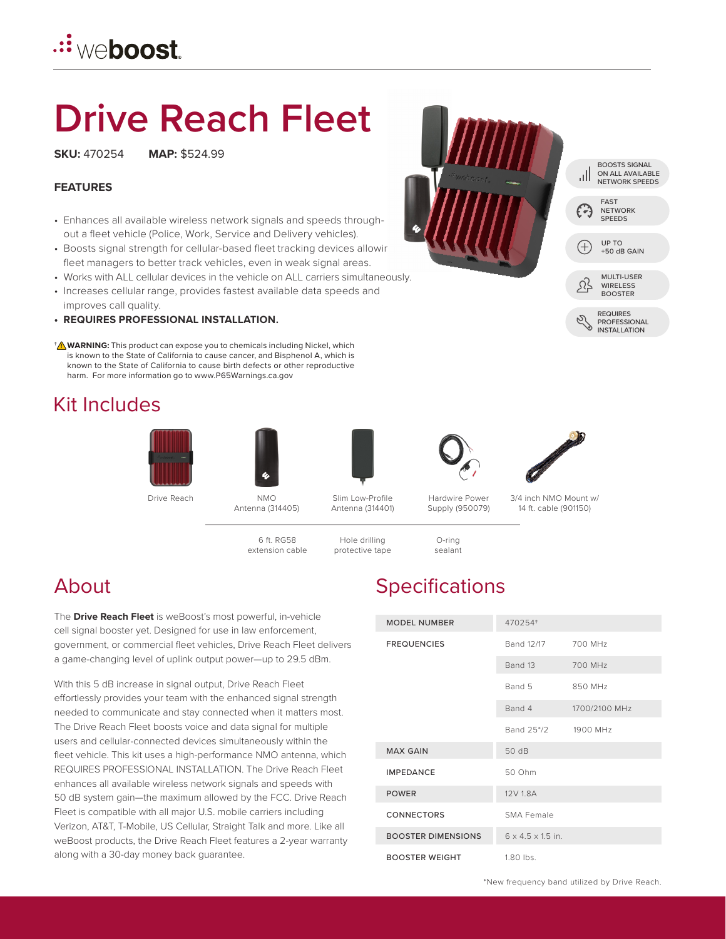## **<u>.∷weboost</u>**

# **Drive Reach Fleet**

**SKU:** 470254 **MAP:** \$524.99

#### **FEATURES**

- Enhances all available wireless network signals and speeds throughout a fleet vehicle (Police, Work, Service and Delivery vehicles).
- Boosts signal strength for cellular-based fleet tracking devices allowir fleet managers to better track vehicles, even in weak signal areas.
- Works with ALL cellular devices in the vehicle on ALL carriers simultaneously.
- Increases cellular range, provides fastest available data speeds and improves call quality.
- **REQUIRES PROFESSIONAL INSTALLATION.**
- **WARNING:** This product can expose you to chemicals including Nickel, which † **!** is known to the State of California to cause cancer, and Bisphenol A, which is known to the State of California to cause birth defects or other reproductive harm. For more information go to www.P65Warnings.ca.gov

### Kit Includes















Drive Reach NMO

Antenna (314405)

Slim Low-Profile Antenna (314401)

Supply (950079)

3/4 inch NMO Mount w/ 14 ft. cable (901150)

6 ft. RG58 extension cable



The **Drive Reach Fleet** is weBoost's most powerful, in-vehicle cell signal booster yet. Designed for use in law enforcement, government, or commercial fleet vehicles, Drive Reach Fleet delivers a game-changing level of uplink output power—up to 29.5 dBm.

With this 5 dB increase in signal output, Drive Reach Fleet effortlessly provides your team with the enhanced signal strength needed to communicate and stay connected when it matters most. The Drive Reach Fleet boosts voice and data signal for multiple users and cellular-connected devices simultaneously within the fleet vehicle. This kit uses a high-performance NMO antenna, which REQUIRES PROFESSIONAL INSTALLATION. The Drive Reach Fleet enhances all available wireless network signals and speeds with 50 dB system gain—the maximum allowed by the FCC. Drive Reach Fleet is compatible with all major U.S. mobile carriers including Verizon, AT&T, T-Mobile, US Cellular, Straight Talk and more. Like all weBoost products, the Drive Reach Fleet features a 2-year warranty along with a 30-day money back guarantee.

## About Specifications

| <b>MODEL NUMBER</b>       | 470254+                       |               |
|---------------------------|-------------------------------|---------------|
| <b>FREQUENCIES</b>        | Band 12/17                    | 700 MHz       |
|                           | Band 13                       | 700 MHz       |
|                           | Band 5                        | 850 MHz       |
|                           | Band 4                        | 1700/2100 MHz |
|                           | Band 25*/2 1900 MHz           |               |
| <b>MAX GAIN</b>           | 50 dB                         |               |
| <b>IMPEDANCE</b>          | 50 Ohm                        |               |
| <b>POWER</b>              | 12V 1.8A                      |               |
| <b>CONNECTORS</b>         | SMA Female                    |               |
| <b>BOOSTER DIMENSIONS</b> | $6 \times 4.5 \times 1.5$ in. |               |
| <b>BOOSTER WEIGHT</b>     | $1.80$ lbs.                   |               |

\*New frequency band utilized by Drive Reach.



BOOSTS SIGNAL

PROFESSIONAL INSTALLATION